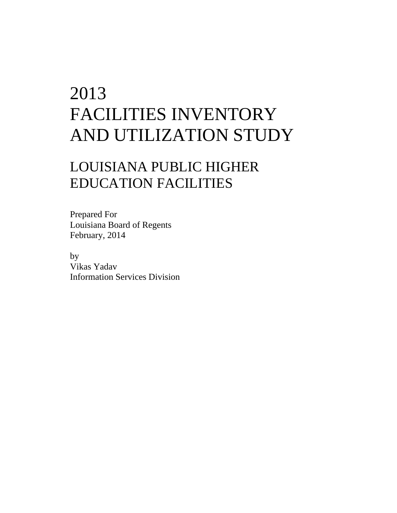## 2013 FACILITIES INVENTORY AND UTILIZATION STUDY

## LOUISIANA PUBLIC HIGHER EDUCATION FACILITIES

Prepared For Louisiana Board of Regents February, 2014

 by Vikas Yadav Information Services Division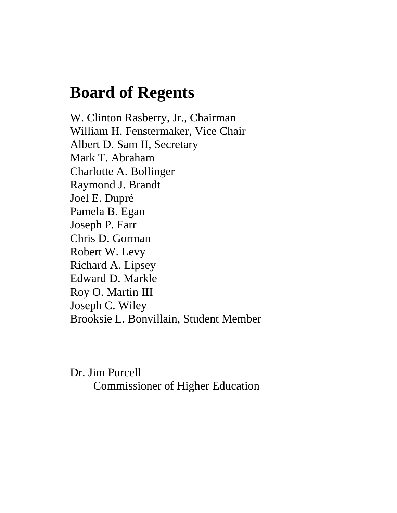## **Board of Regents**

W. Clinton Rasberry, Jr., Chairman William H. Fenstermaker, Vice Chair Albert D. Sam II, Secretary Mark T. Abraham Charlotte A. Bollinger Raymond J. Brandt Joel E. Dupré Pamela B. Egan Joseph P. Farr Chris D. Gorman Robert W. Levy Richard A. Lipsey Edward D. Markle Roy O. Martin III Joseph C. Wiley Brooksie L. Bonvillain, Student Member

Dr. Jim Purcell Commissioner of Higher Education